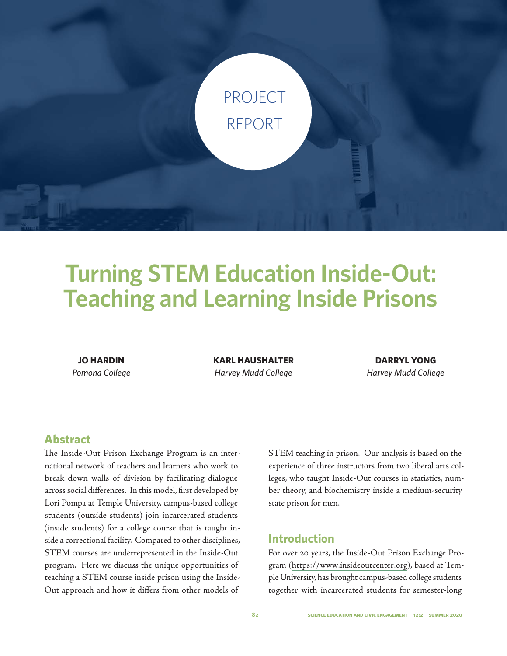

# **Turning STEM Education Inside-Out: Teaching and Learning Inside Prisons**

**JO HARDIN** *Pomona College* **KARL HAUSHALTER** *Harvey Mudd College*

**DARRYL YONG** *Harvey Mudd College*

## **Abstract**

The Inside-Out Prison Exchange Program is an international network of teachers and learners who work to break down walls of division by facilitating dialogue across social differences. In this model, first developed by Lori Pompa at Temple University, campus-based college students (outside students) join incarcerated students (inside students) for a college course that is taught inside a correctional facility. Compared to other disciplines, STEM courses are underrepresented in the Inside-Out program. Here we discuss the unique opportunities of teaching a STEM course inside prison using the Inside-Out approach and how it differs from other models of

STEM teaching in prison. Our analysis is based on the experience of three instructors from two liberal arts colleges, who taught Inside-Out courses in statistics, number theory, and biochemistry inside a medium-security state prison for men.

## **Introduction**

For over 20 years, the Inside-Out Prison Exchange Program (https://www.insideoutcenter.org), based at Temple University, has brought campus-based college students together with incarcerated students for semester-long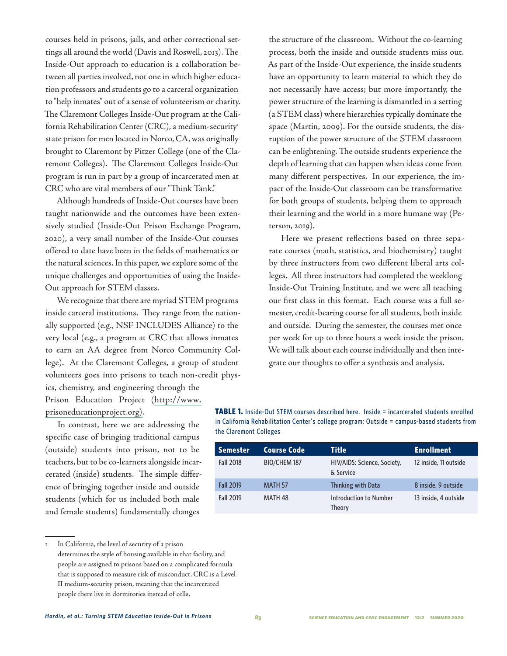courses held in prisons, jails, and other correctional settings all around the world (Davis and Roswell, 2013). The Inside-Out approach to education is a collaboration between all parties involved, not one in which higher education professors and students go to a carceral organization to "help inmates" out of a sense of volunteerism or charity. The Claremont Colleges Inside-Out program at the California Rehabilitation Center (CRC), a medium-security<sup>1</sup> state prison for men located in Norco, CA, was originally brought to Claremont by Pitzer College (one of the Claremont Colleges). The Claremont Colleges Inside-Out program is run in part by a group of incarcerated men at CRC who are vital members of our "Think Tank."

Although hundreds of Inside-Out courses have been taught nationwide and the outcomes have been extensively studied (Inside-Out Prison Exchange Program, 2020), a very small number of the Inside-Out courses offered to date have been in the fields of mathematics or the natural sciences. In this paper, we explore some of the unique challenges and opportunities of using the Inside-Out approach for STEM classes.

We recognize that there are myriad STEM programs inside carceral institutions. They range from the nationally supported (e.g., NSF INCLUDES Alliance) to the very local (e.g., a program at CRC that allows inmates to earn an AA degree from Norco Community College). At the Claremont Colleges, a group of student volunteers goes into prisons to teach non-credit phys-

ics, chemistry, and engineering through the Prison Education Project (http://www. prisoneducationproject.org).

In contrast, here we are addressing the specific case of bringing traditional campus (outside) students into prison, not to be teachers, but to be co-learners alongside incarcerated (inside) students. The simple difference of bringing together inside and outside students (which for us included both male and female students) fundamentally changes

the structure of the classroom. Without the co-learning process, both the inside and outside students miss out. As part of the Inside-Out experience, the inside students have an opportunity to learn material to which they do not necessarily have access; but more importantly, the power structure of the learning is dismantled in a setting (a STEM class) where hierarchies typically dominate the space (Martin, 2009). For the outside students, the disruption of the power structure of the STEM classroom can be enlightening. The outside students experience the depth of learning that can happen when ideas come from many different perspectives. In our experience, the impact of the Inside-Out classroom can be transformative for both groups of students, helping them to approach their learning and the world in a more humane way (Peterson, 2019).

Here we present reflections based on three separate courses (math, statistics, and biochemistry) taught by three instructors from two different liberal arts colleges. All three instructors had completed the weeklong Inside-Out Training Institute, and we were all teaching our first class in this format. Each course was a full semester, credit-bearing course for all students, both inside and outside. During the semester, the courses met once per week for up to three hours a week inside the prison. We will talk about each course individually and then integrate our thoughts to offer a synthesis and analysis.

**TABLE 1.** Inside-Out STEM courses described here. Inside = incarcerated students enrolled in California Rehabilitation Center's college program; Outside = campus-based students from the Claremont Colleges

| <b>Semester</b>  | <b>Course Code</b> | Title                                    | <b>Enrollment</b>     |
|------------------|--------------------|------------------------------------------|-----------------------|
| <b>Fall 2018</b> | BIO/CHEM 187       | HIV/AIDS: Science, Society,<br>& Service | 12 inside, 11 outside |
| <b>Fall 2019</b> | MATH <sub>57</sub> | Thinking with Data                       | 8 inside, 9 outside   |
| <b>Fall 2019</b> | MATH 48            | Introduction to Number<br>Theory         | 13 inside, 4 outside  |

In California, the level of security of a prison determines the style of housing available in that facility, and people are assigned to prisons based on a complicated formula that is supposed to measure risk of misconduct. CRC is a Level II medium-security prison, meaning that the incarcerated people there live in dormitories instead of cells.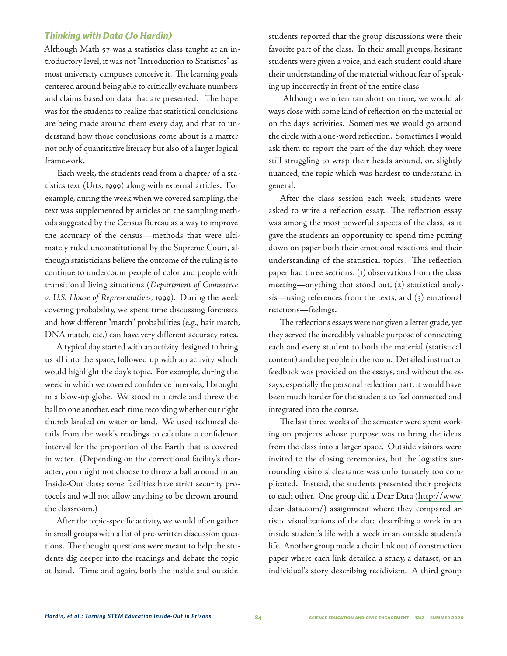#### *Thinking with Data (Jo Hardin)*

Although Math 57 was a statistics class taught at an introductory level, it was not "Introduction to Statistics" as most university campuses conceive it. The learning goals centered around being able to critically evaluate numbers and claims based on data that are presented. The hope was for the students to realize that statistical conclusions are being made around them every day, and that to understand how those conclusions come about is a matter not only of quantitative literacy but also of a larger logical framework.

Each week, the students read from a chapter of a statistics text (Utts, 1999) along with external articles. For example, during the week when we covered sampling, the text was supplemented by articles on the sampling methods suggested by the Census Bureau as a way to improve the accuracy of the census—methods that were ultimately ruled unconstitutional by the Supreme Court, although statisticians believe the outcome of the ruling is to continue to undercount people of color and people with transitional living situations (*Department of Commerce v. U.S. House of Representatives,* 1999). During the week covering probability, we spent time discussing forensics and how different "match" probabilities (e.g., hair match, DNA match, etc.) can have very different accuracy rates.

A typical day started with an activity designed to bring us all into the space, followed up with an activity which would highlight the day's topic. For example, during the week in which we covered confidence intervals, I brought in a blow-up globe. We stood in a circle and threw the ball to one another, each time recording whether our right thumb landed on water or land. We used technical details from the week's readings to calculate a confidence interval for the proportion of the Earth that is covered in water. (Depending on the correctional facility's character, you might not choose to throw a ball around in an Inside-Out class; some facilities have strict security protocols and will not allow anything to be thrown around the classroom.)

After the topic-specific activity, we would often gather in small groups with a list of pre-written discussion questions. The thought questions were meant to help the students dig deeper into the readings and debate the topic at hand. Time and again, both the inside and outside

students reported that the group discussions were their favorite part of the class. In their small groups, hesitant students were given a voice, and each student could share their understanding of the material without fear of speaking up incorrectly in front of the entire class.

 Although we often ran short on time, we would always close with some kind of reflection on the material or on the day's activities. Sometimes we would go around the circle with a one-word reflection. Sometimes I would ask them to report the part of the day which they were still struggling to wrap their heads around, or, slightly nuanced, the topic which was hardest to understand in general.

After the class session each week, students were asked to write a reflection essay. The reflection essay was among the most powerful aspects of the class, as it gave the students an opportunity to spend time putting down on paper both their emotional reactions and their understanding of the statistical topics. The reflection paper had three sections: (1) observations from the class meeting—anything that stood out, (2) statistical analysis—using references from the texts, and (3) emotional reactions—feelings.

The reflections essays were not given a letter grade, yet they served the incredibly valuable purpose of connecting each and every student to both the material (statistical content) and the people in the room. Detailed instructor feedback was provided on the essays, and without the essays, especially the personal reflection part, it would have been much harder for the students to feel connected and integrated into the course.

The last three weeks of the semester were spent working on projects whose purpose was to bring the ideas from the class into a larger space. Outside visitors were invited to the closing ceremonies, but the logistics surrounding visitors' clearance was unfortunately too complicated. Instead, the students presented their projects to each other. One group did a Dear Data (http://www. dear-data.com/) assignment where they compared artistic visualizations of the data describing a week in an inside student's life with a week in an outside student's life. Another group made a chain link out of construction paper where each link detailed a study, a dataset, or an individual's story describing recidivism. A third group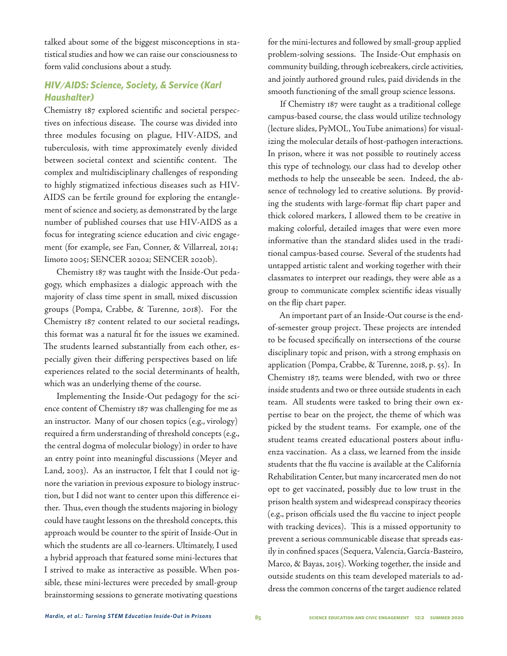talked about some of the biggest misconceptions in statistical studies and how we can raise our consciousness to form valid conclusions about a study.

## *HIV/AIDS: Science, Society, & Service (Karl Haushalter)*

Chemistry 187 explored scientific and societal perspectives on infectious disease. The course was divided into three modules focusing on plague, HIV-AIDS, and tuberculosis, with time approximately evenly divided between societal context and scientific content. The complex and multidisciplinary challenges of responding to highly stigmatized infectious diseases such as HIV-AIDS can be fertile ground for exploring the entanglement of science and society, as demonstrated by the large number of published courses that use HIV-AIDS as a focus for integrating science education and civic engagement (for example, see Fan, Conner, & Villarreal, 2014; Iimoto 2005; SENCER 2020a; SENCER 2020b).

Chemistry 187 was taught with the Inside-Out pedagogy, which emphasizes a dialogic approach with the majority of class time spent in small, mixed discussion groups (Pompa, Crabbe, & Turenne, 2018). For the Chemistry 187 content related to our societal readings, this format was a natural fit for the issues we examined. The students learned substantially from each other, especially given their differing perspectives based on life experiences related to the social determinants of health, which was an underlying theme of the course.

Implementing the Inside-Out pedagogy for the science content of Chemistry 187 was challenging for me as an instructor. Many of our chosen topics (e.g., virology) required a firm understanding of threshold concepts (e.g., the central dogma of molecular biology) in order to have an entry point into meaningful discussions (Meyer and Land, 2003). As an instructor, I felt that I could not ignore the variation in previous exposure to biology instruction, but I did not want to center upon this difference either. Thus, even though the students majoring in biology could have taught lessons on the threshold concepts, this approach would be counter to the spirit of Inside-Out in which the students are all co-learners. Ultimately, I used a hybrid approach that featured some mini-lectures that I strived to make as interactive as possible. When possible, these mini-lectures were preceded by small-group brainstorming sessions to generate motivating questions

for the mini-lectures and followed by small-group applied problem-solving sessions. The Inside-Out emphasis on community building, through icebreakers, circle activities, and jointly authored ground rules, paid dividends in the smooth functioning of the small group science lessons.

If Chemistry 187 were taught as a traditional college campus-based course, the class would utilize technology (lecture slides, PyMOL, YouTube animations) for visualizing the molecular details of host-pathogen interactions. In prison, where it was not possible to routinely access this type of technology, our class had to develop other methods to help the unseeable be seen. Indeed, the absence of technology led to creative solutions. By providing the students with large-format flip chart paper and thick colored markers, I allowed them to be creative in making colorful, detailed images that were even more informative than the standard slides used in the traditional campus-based course. Several of the students had untapped artistic talent and working together with their classmates to interpret our readings, they were able as a group to communicate complex scientific ideas visually on the flip chart paper.

An important part of an Inside-Out course is the endof-semester group project. These projects are intended to be focused specifically on intersections of the course disciplinary topic and prison, with a strong emphasis on application (Pompa, Crabbe, & Turenne, 2018, p. 55). In Chemistry 187, teams were blended, with two or three inside students and two or three outside students in each team. All students were tasked to bring their own expertise to bear on the project, the theme of which was picked by the student teams. For example, one of the student teams created educational posters about influenza vaccination. As a class, we learned from the inside students that the flu vaccine is available at the California Rehabilitation Center, but many incarcerated men do not opt to get vaccinated, possibly due to low trust in the prison health system and widespread conspiracy theories (e.g., prison officials used the flu vaccine to inject people with tracking devices). This is a missed opportunity to prevent a serious communicable disease that spreads easily in confined spaces (Sequera, Valencia, García-Basteiro, Marco, & Bayas, 2015). Working together, the inside and outside students on this team developed materials to address the common concerns of the target audience related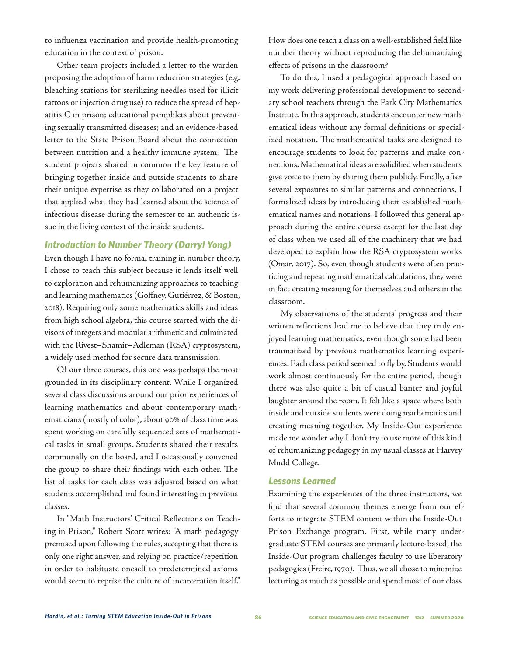to influenza vaccination and provide health-promoting education in the context of prison.

Other team projects included a letter to the warden proposing the adoption of harm reduction strategies (e.g. bleaching stations for sterilizing needles used for illicit tattoos or injection drug use) to reduce the spread of hepatitis C in prison; educational pamphlets about preventing sexually transmitted diseases; and an evidence-based letter to the State Prison Board about the connection between nutrition and a healthy immune system. The student projects shared in common the key feature of bringing together inside and outside students to share their unique expertise as they collaborated on a project that applied what they had learned about the science of infectious disease during the semester to an authentic issue in the living context of the inside students.

#### *Introduction to Number Theory (Darryl Yong)*

Even though I have no formal training in number theory, I chose to teach this subject because it lends itself well to exploration and rehumanizing approaches to teaching and learning mathematics (Goffney, Gutiérrez, & Boston, 2018). Requiring only some mathematics skills and ideas from high school algebra, this course started with the divisors of integers and modular arithmetic and culminated with the Rivest–Shamir–Adleman (RSA) cryptosystem, a widely used method for secure data transmission.

Of our three courses, this one was perhaps the most grounded in its disciplinary content. While I organized several class discussions around our prior experiences of learning mathematics and about contemporary mathematicians (mostly of color), about 90% of class time was spent working on carefully sequenced sets of mathematical tasks in small groups. Students shared their results communally on the board, and I occasionally convened the group to share their findings with each other. The list of tasks for each class was adjusted based on what students accomplished and found interesting in previous classes.

In "Math Instructors' Critical Reflections on Teaching in Prison," Robert Scott writes: "A math pedagogy premised upon following the rules, accepting that there is only one right answer, and relying on practice/repetition in order to habituate oneself to predetermined axioms would seem to reprise the culture of incarceration itself."

How does one teach a class on a well-established field like number theory without reproducing the dehumanizing effects of prisons in the classroom?

To do this, I used a pedagogical approach based on my work delivering professional development to secondary school teachers through the Park City Mathematics Institute. In this approach, students encounter new mathematical ideas without any formal definitions or specialized notation. The mathematical tasks are designed to encourage students to look for patterns and make connections. Mathematical ideas are solidified when students give voice to them by sharing them publicly. Finally, after several exposures to similar patterns and connections, I formalized ideas by introducing their established mathematical names and notations. I followed this general approach during the entire course except for the last day of class when we used all of the machinery that we had developed to explain how the RSA cryptosystem works (Omar, 2017). So, even though students were often practicing and repeating mathematical calculations, they were in fact creating meaning for themselves and others in the classroom.

My observations of the students' progress and their written reflections lead me to believe that they truly enjoyed learning mathematics, even though some had been traumatized by previous mathematics learning experiences. Each class period seemed to fly by. Students would work almost continuously for the entire period, though there was also quite a bit of casual banter and joyful laughter around the room. It felt like a space where both inside and outside students were doing mathematics and creating meaning together. My Inside-Out experience made me wonder why I don't try to use more of this kind of rehumanizing pedagogy in my usual classes at Harvey Mudd College.

#### *Lessons Learned*

Examining the experiences of the three instructors, we find that several common themes emerge from our efforts to integrate STEM content within the Inside-Out Prison Exchange program. First, while many undergraduate STEM courses are primarily lecture-based, the Inside-Out program challenges faculty to use liberatory pedagogies (Freire, 1970). Thus, we all chose to minimize lecturing as much as possible and spend most of our class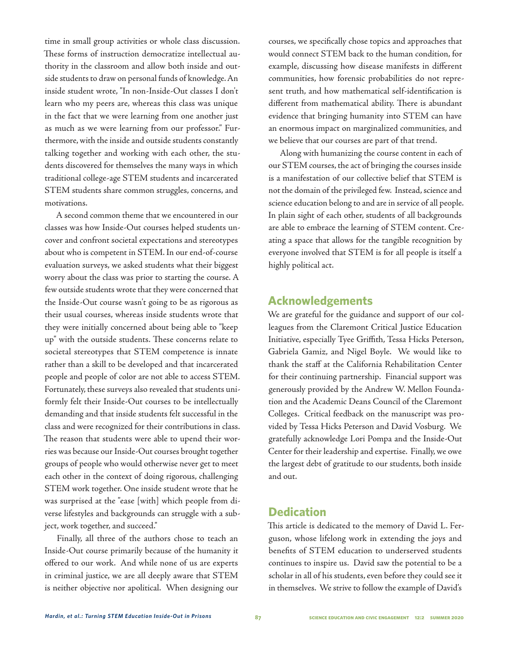time in small group activities or whole class discussion. These forms of instruction democratize intellectual authority in the classroom and allow both inside and outside students to draw on personal funds of knowledge. An inside student wrote, "In non-Inside-Out classes I don't learn who my peers are, whereas this class was unique in the fact that we were learning from one another just as much as we were learning from our professor." Furthermore, with the inside and outside students constantly talking together and working with each other, the students discovered for themselves the many ways in which traditional college-age STEM students and incarcerated STEM students share common struggles, concerns, and motivations.

A second common theme that we encountered in our classes was how Inside-Out courses helped students uncover and confront societal expectations and stereotypes about who is competent in STEM. In our end-of-course evaluation surveys, we asked students what their biggest worry about the class was prior to starting the course. A few outside students wrote that they were concerned that the Inside-Out course wasn't going to be as rigorous as their usual courses, whereas inside students wrote that they were initially concerned about being able to "keep up" with the outside students. These concerns relate to societal stereotypes that STEM competence is innate rather than a skill to be developed and that incarcerated people and people of color are not able to access STEM. Fortunately, these surveys also revealed that students uniformly felt their Inside-Out courses to be intellectually demanding and that inside students felt successful in the class and were recognized for their contributions in class. The reason that students were able to upend their worries was because our Inside-Out courses brought together groups of people who would otherwise never get to meet each other in the context of doing rigorous, challenging STEM work together. One inside student wrote that he was surprised at the "ease [with] which people from diverse lifestyles and backgrounds can struggle with a subject, work together, and succeed."

Finally, all three of the authors chose to teach an Inside-Out course primarily because of the humanity it offered to our work. And while none of us are experts in criminal justice, we are all deeply aware that STEM is neither objective nor apolitical. When designing our courses, we specifically chose topics and approaches that would connect STEM back to the human condition, for example, discussing how disease manifests in different communities, how forensic probabilities do not represent truth, and how mathematical self-identification is different from mathematical ability. There is abundant evidence that bringing humanity into STEM can have an enormous impact on marginalized communities, and we believe that our courses are part of that trend.

Along with humanizing the course content in each of our STEM courses, the act of bringing the courses inside is a manifestation of our collective belief that STEM is not the domain of the privileged few. Instead, science and science education belong to and are in service of all people. In plain sight of each other, students of all backgrounds are able to embrace the learning of STEM content. Creating a space that allows for the tangible recognition by everyone involved that STEM is for all people is itself a highly political act.

### **Acknowledgements**

We are grateful for the guidance and support of our colleagues from the Claremont Critical Justice Education Initiative, especially Tyee Griffith, Tessa Hicks Peterson, Gabriela Gamiz, and Nigel Boyle. We would like to thank the staff at the California Rehabilitation Center for their continuing partnership. Financial support was generously provided by the Andrew W. Mellon Foundation and the Academic Deans Council of the Claremont Colleges. Critical feedback on the manuscript was provided by Tessa Hicks Peterson and David Vosburg. We gratefully acknowledge Lori Pompa and the Inside-Out Center for their leadership and expertise. Finally, we owe the largest debt of gratitude to our students, both inside and out.

## **Dedication**

This article is dedicated to the memory of David L. Ferguson, whose lifelong work in extending the joys and benefits of STEM education to underserved students continues to inspire us. David saw the potential to be a scholar in all of his students, even before they could see it in themselves. We strive to follow the example of David's